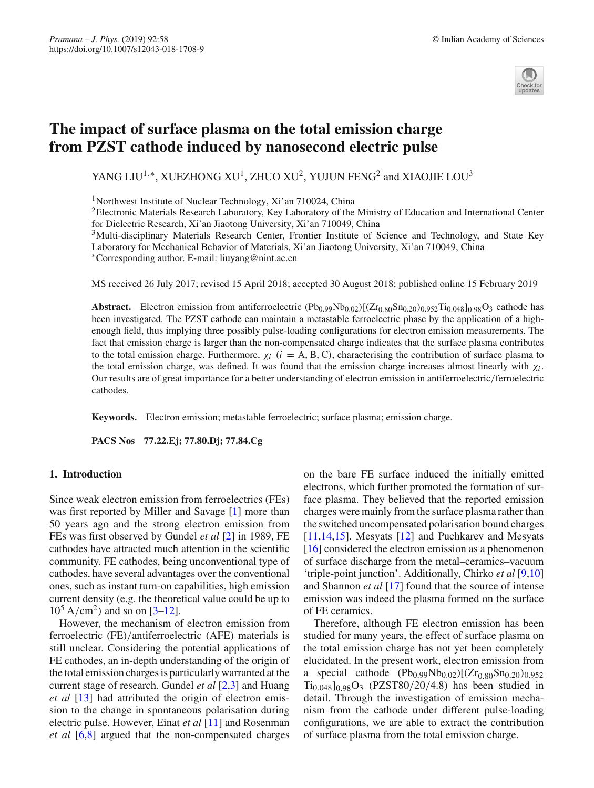

# **The impact of surface plasma on the total emission charge from PZST cathode induced by nanosecond electric pulse**

YANG LIU<sup>1,∗</sup>, XUEZHONG XU<sup>1</sup>, ZHUO XU<sup>2</sup>, YUJUN FENG<sup>2</sup> and XIAOJIE LOU<sup>3</sup>

<sup>1</sup>Northwest Institute of Nuclear Technology, Xi'an 710024, China

<sup>2</sup>Electronic Materials Research Laboratory, Key Laboratory of the Ministry of Education and International Center for Dielectric Research, Xi'an Jiaotong University, Xi'an 710049, China

3Multi-disciplinary Materials Research Center, Frontier Institute of Science and Technology, and State Key Laboratory for Mechanical Behavior of Materials, Xi'an Jiaotong University, Xi'an 710049, China ∗Corresponding author. E-mail: liuyang@nint.ac.cn

MS received 26 July 2017; revised 15 April 2018; accepted 30 August 2018; published online 15 February 2019

**Abstract.** Electron emission from antiferroelectric  $(Pb_{0.99}Nb_{0.02})[(Zr_{0.80}Sn_{0.20})_{0.952}Ti_{0.048}]_{0.98}O_3$  cathode has been investigated. The PZST cathode can maintain a metastable ferroelectric phase by the application of a highenough field, thus implying three possibly pulse-loading configurations for electron emission measurements. The fact that emission charge is larger than the non-compensated charge indicates that the surface plasma contributes to the total emission charge. Furthermore,  $\chi_i$  ( $i = A, B, C$ ), characterising the contribution of surface plasma to the total emission charge, was defined. It was found that the emission charge increases almost linearly with  $\chi_i$ . Our results are of great importance for a better understanding of electron emission in antiferroelectric/ferroelectric cathodes.

**Keywords.** Electron emission; metastable ferroelectric; surface plasma; emission charge.

**PACS Nos 77.22.Ej; 77.80.Dj; 77.84.Cg**

## **1. Introduction**

Since weak electron emission from ferroelectrics (FEs) was first reported by Miller and Savage [\[1\]](#page-5-0) more than 50 years ago and the strong electron emission from FEs was first observed by Gundel *et al* [\[2](#page-5-1)] in 1989, FE cathodes have attracted much attention in the scientific community. FE cathodes, being unconventional type of cathodes, have several advantages over the conventional ones, such as instant turn-on capabilities, high emission current density (e.g. the theoretical value could be up to  $10^5$  A/cm<sup>2</sup>) and so on [\[3](#page-5-2)[–12](#page-5-3)].

However, the mechanism of electron emission from ferroelectric (FE)/antiferroelectric (AFE) materials is still unclear. Considering the potential applications of FE cathodes, an in-depth understanding of the origin of the total emission charges is particularly warranted at the current stage of research. Gundel *et al* [\[2](#page-5-1)[,3](#page-5-2)] and Huang *et al* [\[13](#page-5-4)] had attributed the origin of electron emission to the change in spontaneous polarisation during electric pulse. However, Einat *et al* [\[11](#page-5-5)] and Rosenman *et al* [\[6](#page-5-6)[,8\]](#page-5-7) argued that the non-compensated charges on the bare FE surface induced the initially emitted electrons, which further promoted the formation of surface plasma. They believed that the reported emission charges were mainly from the surface plasma rather than the switched uncompensated polarisation bound charges [\[11](#page-5-5)[,14](#page-5-8)[,15\]](#page-5-9). Mesyats [\[12\]](#page-5-3) and Puchkarev and Mesyats [\[16](#page-5-10)] considered the electron emission as a phenomenon of surface discharge from the metal–ceramics–vacuum 'triple-point junction'. Additionally, Chirko *et al* [\[9](#page-5-11)[,10\]](#page-5-12) and Shannon *et al* [\[17\]](#page-5-13) found that the source of intense emission was indeed the plasma formed on the surface of FE ceramics.

Therefore, although FE electron emission has been studied for many years, the effect of surface plasma on the total emission charge has not yet been completely elucidated. In the present work, electron emission from a special cathode  $(Pb_{0.99}Nb_{0.02})[(Zr_{0.80}Sn_{0.20})_{0.952}]$  $Ti_{0.048}]_{0.98}$ O<sub>3</sub> (PZST80/20/4.8) has been studied in detail. Through the investigation of emission mechanism from the cathode under different pulse-loading configurations, we are able to extract the contribution of surface plasma from the total emission charge.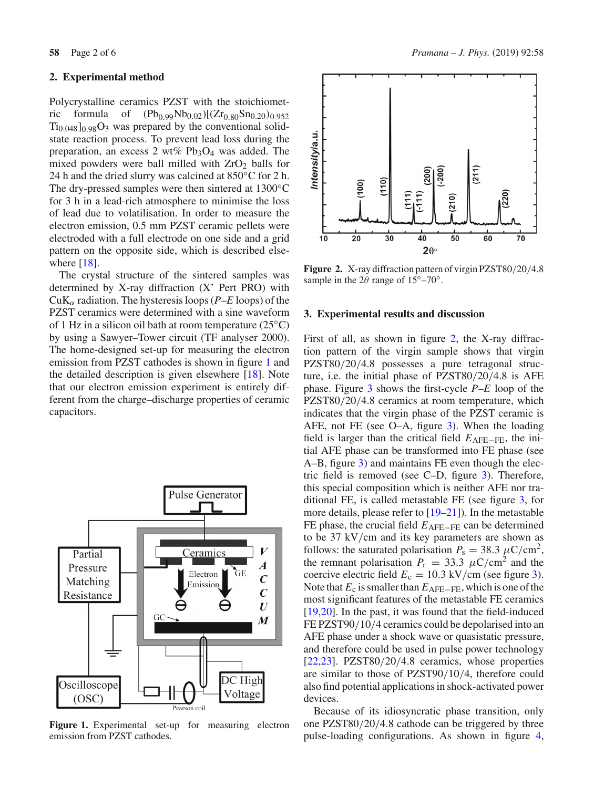### **2. Experimental method**

Polycrystalline ceramics PZST with the stoichiometric formula of  $(Pb_{0.99}Nb_{0.02})[(Zr_{0.80}Sn_{0.20})_{0.952}]$  $Ti<sub>0.048</sub>$  $\log$ O<sub>3</sub> was prepared by the conventional solidstate reaction process. To prevent lead loss during the preparation, an excess 2 wt%  $Pb_3O_4$  was added. The mixed powders were ball milled with  $ZrO<sub>2</sub>$  balls for 24 h and the dried slurry was calcined at 850°C for 2 h. The dry-pressed samples were then sintered at 1300◦C for 3 h in a lead-rich atmosphere to minimise the loss of lead due to volatilisation. In order to measure the electron emission, 0.5 mm PZST ceramic pellets were electroded with a full electrode on one side and a grid pattern on the opposite side, which is described elsewhere  $[18]$ .

The crystal structure of the sintered samples was determined by X-ray diffraction (X' Pert PRO) with CuK<sub>α</sub> radiation. The hysteresis loops ( $P$ –*E* loops) of the PZST ceramics were determined with a sine waveform of 1 Hz in a silicon oil bath at room temperature (25◦C) by using a Sawyer–Tower circuit (TF analyser 2000). The home-designed set-up for measuring the electron emission from PZST cathodes is shown in figure [1](#page-1-0) and the detailed description is given elsewhere [\[18\]](#page-5-14). Note that our electron emission experiment is entirely different from the charge–discharge properties of ceramic capacitors.



<span id="page-1-0"></span>Figure 1. Experimental set-up for measuring electron emission from PZST cathodes.



<span id="page-1-1"></span>**Figure 2.** X-ray diffraction pattern of virgin PZST80/20/4.8 sample in the  $2\theta$  range of  $15^{\circ}$ –70°.

#### **3. Experimental results and discussion**

First of all, as shown in figure [2,](#page-1-1) the X-ray diffraction pattern of the virgin sample shows that virgin PZST80/20/4.8 possesses a pure tetragonal structure, i.e. the initial phase of PZST80/20/4.8 is AFE phase. Figure [3](#page-2-0) shows the first-cycle *P*–*E* loop of the PZST80/20/4.8 ceramics at room temperature, which indicates that the virgin phase of the PZST ceramic is AFE, not FE (see O–A, figure [3\)](#page-2-0). When the loading field is larger than the critical field *E*AFE−FE, the initial AFE phase can be transformed into FE phase (see A–B, figure [3\)](#page-2-0) and maintains FE even though the electric field is removed (see C–D, figure [3\)](#page-2-0). Therefore, this special composition which is neither AFE nor traditional FE, is called metastable FE (see figure [3,](#page-2-0) for more details, please refer to [\[19](#page-5-15)[–21\]](#page-5-16)). In the metastable FE phase, the crucial field *E*AFE−FE can be determined to be 37 kV/cm and its key parameters are shown as follows: the saturated polarisation  $P_s = 38.3 \mu C/cm^2$ , the remnant polarisation  $P_r = 33.3 \mu C/cm^2$  and the coercive electric field  $E_c = 10.3 \text{ kV/cm}$  (see figure [3\)](#page-2-0). Note that *E*<sub>c</sub> is smaller than *E*<sub>AFE−FE</sub>, which is one of the most significant features of the metastable FE ceramics [\[19](#page-5-15)[,20\]](#page-5-17). In the past, it was found that the field-induced FE PZST90/10/4 ceramics could be depolarised into an AFE phase under a shock wave or quasistatic pressure, and therefore could be used in pulse power technology [\[22](#page-5-18)[,23\]](#page-5-19). PZST80/20/4.8 ceramics, whose properties are similar to those of PZST90/10/4, therefore could also find potential applications in shock-activated power devices.

Because of its idiosyncratic phase transition, only one PZST80/20/4.8 cathode can be triggered by three pulse-loading configurations. As shown in figure [4,](#page-2-1)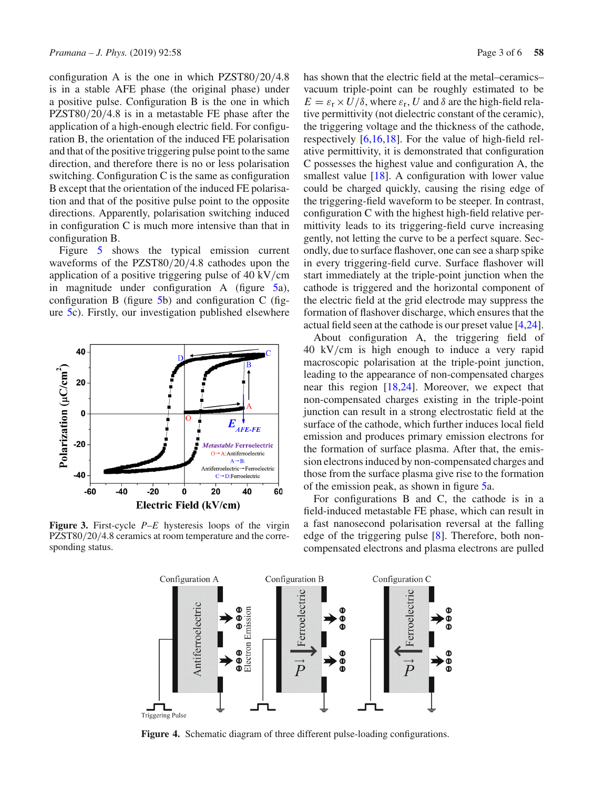configuration A is the one in which PZST80/20/4.8 is in a stable AFE phase (the original phase) under a positive pulse. Configuration B is the one in which PZST80/20/4.8 is in a metastable FE phase after the application of a high-enough electric field. For configuration B, the orientation of the induced FE polarisation and that of the positive triggering pulse point to the same direction, and therefore there is no or less polarisation switching. Configuration C is the same as configuration B except that the orientation of the induced FE polarisation and that of the positive pulse point to the opposite directions. Apparently, polarisation switching induced in configuration C is much more intensive than that in configuration B.

Figure [5](#page-3-0) shows the typical emission current waveforms of the PZST80/20/4.8 cathodes upon the application of a positive triggering pulse of 40 kV/cm in magnitude under configuration A (figure [5a](#page-3-0)), configuration B (figure [5b](#page-3-0)) and configuration C (figure [5c](#page-3-0)). Firstly, our investigation published elsewhere



<span id="page-2-0"></span>**Figure 3.** First-cycle *P*–*E* hysteresis loops of the virgin PZST80/20/4.8 ceramics at room temperature and the corresponding status.

has shown that the electric field at the metal–ceramics– vacuum triple-point can be roughly estimated to be  $E = \varepsilon_r \times U/\delta$ , where  $\varepsilon_r$ , *U* and  $\delta$  are the high-field relative permittivity (not dielectric constant of the ceramic), the triggering voltage and the thickness of the cathode, respectively [\[6](#page-5-6)[,16](#page-5-10)[,18](#page-5-14)]. For the value of high-field relative permittivity, it is demonstrated that configuration C possesses the highest value and configuration A, the smallest value [\[18](#page-5-14)]. A configuration with lower value could be charged quickly, causing the rising edge of the triggering-field waveform to be steeper. In contrast, configuration C with the highest high-field relative permittivity leads to its triggering-field curve increasing gently, not letting the curve to be a perfect square. Secondly, due to surface flashover, one can see a sharp spike in every triggering-field curve. Surface flashover will start immediately at the triple-point junction when the cathode is triggered and the horizontal component of the electric field at the grid electrode may suppress the formation of flashover discharge, which ensures that the actual field seen at the cathode is our preset value [\[4](#page-5-20)[,24](#page-5-21)].

About configuration A, the triggering field of 40 kV/cm is high enough to induce a very rapid macroscopic polarisation at the triple-point junction, leading to the appearance of non-compensated charges near this region [\[18](#page-5-14)[,24\]](#page-5-21). Moreover, we expect that non-compensated charges existing in the triple-point junction can result in a strong electrostatic field at the surface of the cathode, which further induces local field emission and produces primary emission electrons for the formation of surface plasma. After that, the emission electrons induced by non-compensated charges and those from the surface plasma give rise to the formation of the emission peak, as shown in figure [5a](#page-3-0).

For configurations B and C, the cathode is in a field-induced metastable FE phase, which can result in a fast nanosecond polarisation reversal at the falling edge of the triggering pulse [\[8](#page-5-7)]. Therefore, both noncompensated electrons and plasma electrons are pulled



<span id="page-2-1"></span>**Figure 4.** Schematic diagram of three different pulse-loading configurations.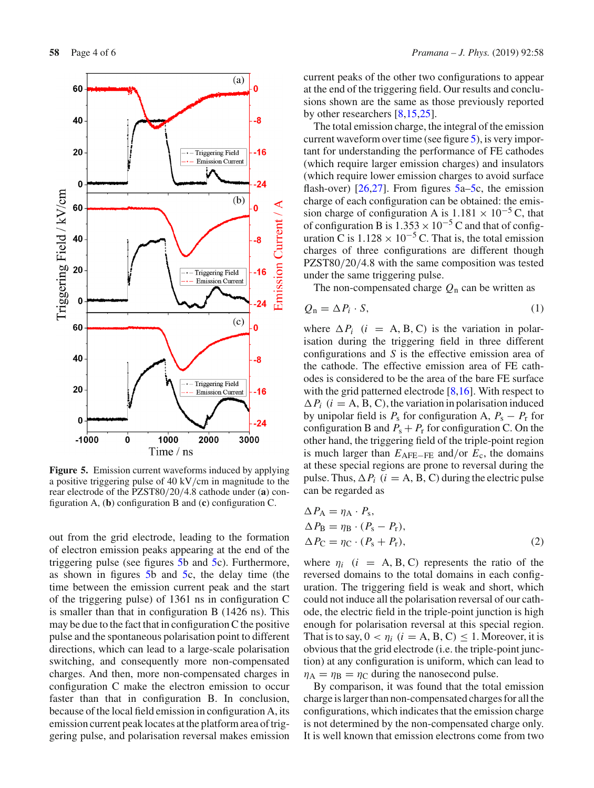

<span id="page-3-0"></span>**Figure 5.** Emission current waveforms induced by applying a positive triggering pulse of 40 kV/cm in magnitude to the rear electrode of the PZST80/20/4.8 cathode under (**a**) configuration A, (**b**) configuration B and (**c**) configuration C.

out from the grid electrode, leading to the formation of electron emission peaks appearing at the end of the triggering pulse (see figures [5b](#page-3-0) and [5c](#page-3-0)). Furthermore, as shown in figures [5b](#page-3-0) and [5c](#page-3-0), the delay time (the time between the emission current peak and the start of the triggering pulse) of 1361 ns in configuration C is smaller than that in configuration B (1426 ns). This may be due to the fact that in configuration C the positive pulse and the spontaneous polarisation point to different directions, which can lead to a large-scale polarisation switching, and consequently more non-compensated charges. And then, more non-compensated charges in configuration C make the electron emission to occur faster than that in configuration B. In conclusion, because of the local field emission in configuration A, its emission current peak locates at the platform area of triggering pulse, and polarisation reversal makes emission current peaks of the other two configurations to appear at the end of the triggering field. Our results and conclusions shown are the same as those previously reported by other researchers [\[8](#page-5-7)[,15](#page-5-9)[,25](#page-5-22)].

The total emission charge, the integral of the emission current waveform over time (see figure [5\)](#page-3-0), is very important for understanding the performance of FE cathodes (which require larger emission charges) and insulators (which require lower emission charges to avoid surface flash-over)  $[26,27]$  $[26,27]$  $[26,27]$ . From figures  $5a-5c$ , the emission charge of each configuration can be obtained: the emission charge of configuration A is  $1.181 \times 10^{-5}$  C, that of configuration B is  $1.353 \times 10^{-5}$  C and that of configuration C is  $1.128 \times 10^{-5}$  C. That is, the total emission charges of three configurations are different though PZST80/20/4.8 with the same composition was tested under the same triggering pulse.

The non-compensated charge  $Q_n$  can be written as

$$
Q_{n} = \Delta P_{i} \cdot S, \qquad (1)
$$

where  $\Delta P_i$  (*i* = A, B, C) is the variation in polarisation during the triggering field in three different configurations and *S* is the effective emission area of the cathode. The effective emission area of FE cathodes is considered to be the area of the bare FE surface with the grid patterned electrode [\[8](#page-5-7)[,16\]](#page-5-10). With respect to  $\Delta P_i$  (*i* = A, B, C), the variation in polarisation induced by unipolar field is  $P_s$  for configuration A,  $P_s - P_r$  for configuration B and  $P_s + P_r$  for configuration C. On the other hand, the triggering field of the triple-point region is much larger than *E*AFE−FE and/or *E*c, the domains at these special regions are prone to reversal during the pulse. Thus,  $\Delta P_i$  (*i* = A, B, C) during the electric pulse can be regarded as

$$
\Delta P_{\rm A} = \eta_{\rm A} \cdot P_{\rm s},
$$
  
\n
$$
\Delta P_{\rm B} = \eta_{\rm B} \cdot (P_{\rm s} - P_{\rm r}),
$$
  
\n
$$
\Delta P_{\rm C} = \eta_{\rm C} \cdot (P_{\rm s} + P_{\rm r}),
$$
\n(2)

where  $\eta_i$  (*i* = A, B, C) represents the ratio of the reversed domains to the total domains in each configuration. The triggering field is weak and short, which could not induce all the polarisation reversal of our cathode, the electric field in the triple-point junction is high enough for polarisation reversal at this special region. That is to say,  $0 < \eta_i$  ( $i = A, B, C \leq 1$ . Moreover, it is obvious that the grid electrode (i.e. the triple-point junction) at any configuration is uniform, which can lead to  $\eta_A = \eta_B = \eta_C$  during the nanosecond pulse.

By comparison, it was found that the total emission charge is larger than non-compensated charges for all the configurations, which indicates that the emission charge is not determined by the non-compensated charge only. It is well known that emission electrons come from two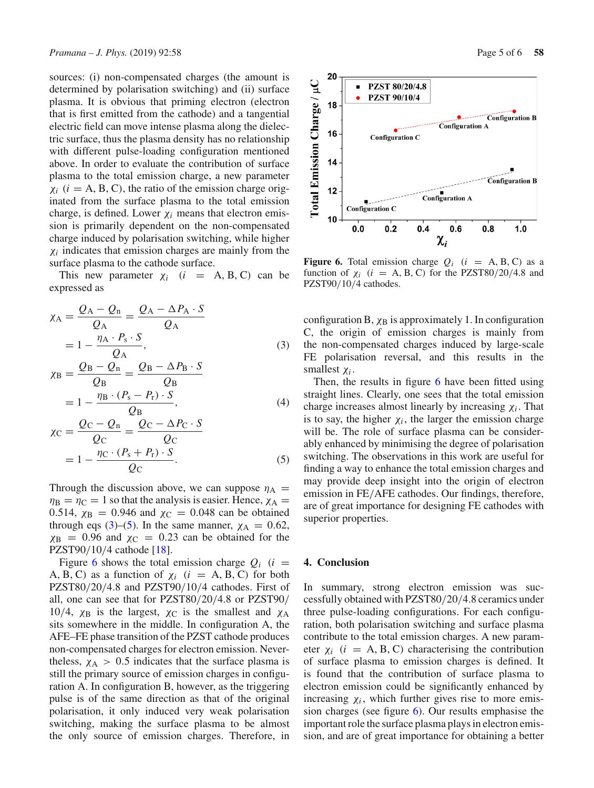sources: (i) non-compensated charges (the amount is determined by polarisation switching) and (ii) surface plasma. It is obvious that priming electron (electron that is first emitted from the cathode) and a tangential electric field can move intense plasma along the dielectric surface, thus the plasma density has no relationship with different pulse-loading configuration mentioned above. In order to evaluate the contribution of surface plasma to the total emission charge, a new parameter  $\chi_i$  ( $i = A, B, C$ ), the ratio of the emission charge originated from the surface plasma to the total emission charge, is defined. Lower  $\chi_i$  means that electron emission is primarily dependent on the non-compensated charge induced by polarisation switching, while higher  $\chi_i$  indicates that emission charges are mainly from the surface plasma to the cathode surface.

This new parameter  $\chi_i$  (*i* = A, B, C) can be expressed as

<span id="page-4-0"></span>
$$
\chi_{A} = \frac{Q_{A} - Q_{n}}{Q_{A}} = \frac{Q_{A} - \Delta P_{A} \cdot S}{Q_{A}}
$$

$$
= 1 - \frac{\eta_{A} \cdot P_{s} \cdot S}{Q_{A}}, \qquad (3)
$$

$$
\chi_{\rm B} = \frac{Q_{\rm B} - Q_{\rm n}}{Q_{\rm B}} = \frac{Q_{\rm B} - \Delta P_{\rm B} \cdot S}{Q_{\rm B}}
$$

$$
= 1 - \frac{\eta_{\rm B} \cdot (P_{\rm s} - P_{\rm r}) \cdot S}{Q_{\rm B}}, \tag{4}
$$

$$
\chi_{\rm C} = \frac{Q_{\rm C} - Q_{\rm n}}{Q_{\rm C}} = \frac{Q_{\rm C} - \Delta P_{\rm C} \cdot S}{Q_{\rm C}}
$$

$$
= 1 - \frac{\eta_{\rm C} \cdot (P_{\rm s} + P_{\rm r}) \cdot S}{Q_{\rm C}}.
$$
(5)

Through the discussion above, we can suppose  $\eta_A$  =  $\eta_B = \eta_C = 1$  so that the analysis is easier. Hence,  $\chi_A =$ 0.514,  $\chi_{\text{B}} = 0.946$  and  $\chi_{\text{C}} = 0.048$  can be obtained through eqs [\(3\)](#page-4-0)–[\(5\)](#page-4-0). In the same manner,  $\chi_A = 0.62$ ,  $\chi_{\text{B}}$  = 0.96 and  $\chi_{\text{C}}$  = 0.23 can be obtained for the PZST90/10/4 cathode [\[18\]](#page-5-14).

Figure [6](#page-4-1) shows the total emission charge  $Q_i$  (*i* = A, B, C) as a function of  $\chi_i$  ( $i = A, B, C$ ) for both PZST80/20/4.8 and PZST90/10/4 cathodes. First of all, one can see that for PZST80/20/4.8 or PZST90/ 10/4,  $χ_B$  is the largest,  $χ_C$  is the smallest and  $χ_A$ sits somewhere in the middle. In configuration A, the AFE–FE phase transition of the PZST cathode produces non-compensated charges for electron emission. Nevertheless,  $\chi_A > 0.5$  indicates that the surface plasma is still the primary source of emission charges in configuration A. In configuration B, however, as the triggering pulse is of the same direction as that of the original polarisation, it only induced very weak polarisation switching, making the surface plasma to be almost the only source of emission charges. Therefore, in



<span id="page-4-1"></span>**Figure 6.** Total emission charge  $Q_i$  ( $i = A, B, C$ ) as a function of  $\chi_i$  ( $i = A, B, C$ ) for the PZST80/20/4.8 and PZST90/10/4 cathodes.

configuration B,  $\chi_B$  is approximately 1. In configuration C, the origin of emission charges is mainly from the non-compensated charges induced by large-scale FE polarisation reversal, and this results in the smallest χ*<sup>i</sup>* .

Then, the results in figure [6](#page-4-1) have been fitted using straight lines. Clearly, one sees that the total emission charge increases almost linearly by increasing  $\chi_i$ . That is to say, the higher  $\chi_i$ , the larger the emission charge will be. The role of surface plasma can be considerably enhanced by minimising the degree of polarisation switching. The observations in this work are useful for finding a way to enhance the total emission charges and may provide deep insight into the origin of electron emission in FE/AFE cathodes. Our findings, therefore, are of great importance for designing FE cathodes with superior properties.

#### **4. Conclusion**

In summary, strong electron emission was successfully obtained with PZST80/20/4.8 ceramics under three pulse-loading configurations. For each configuration, both polarisation switching and surface plasma contribute to the total emission charges. A new parameter  $\chi_i$  ( $i = A, B, C$ ) characterising the contribution of surface plasma to emission charges is defined. It is found that the contribution of surface plasma to electron emission could be significantly enhanced by increasing  $\chi_i$ , which further gives rise to more emission charges (see figure [6\)](#page-4-1). Our results emphasise the important role the surface plasma plays in electron emission, and are of great importance for obtaining a better